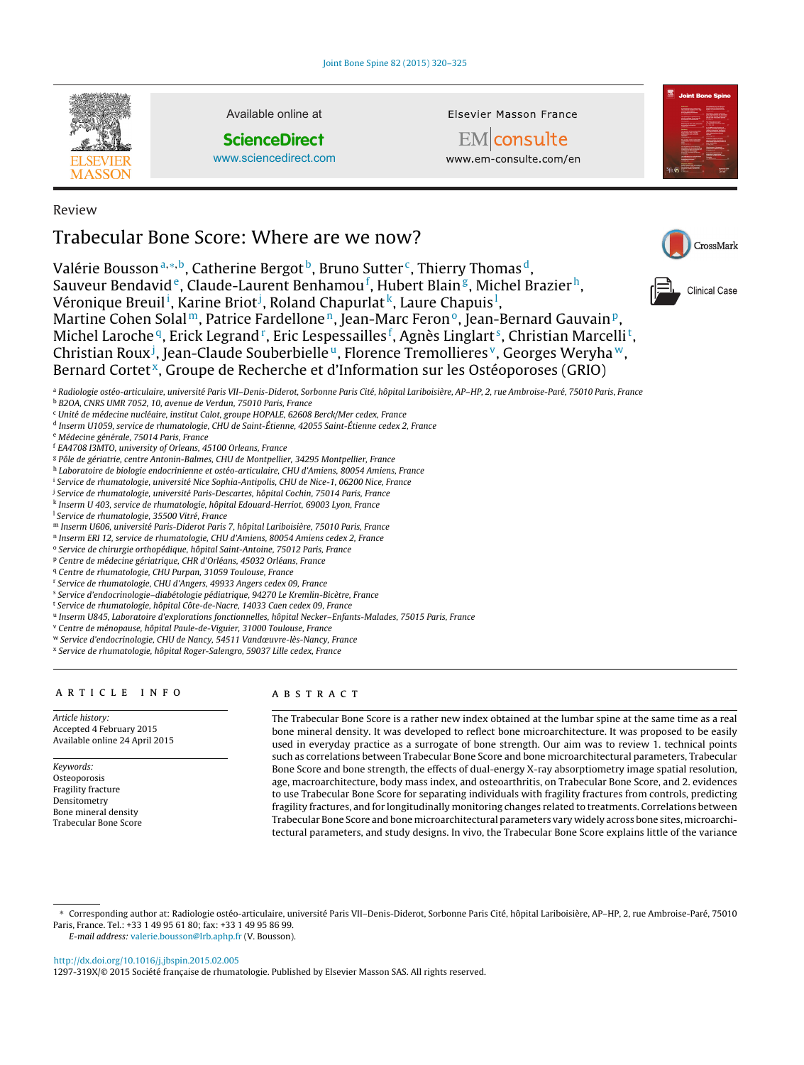

Review

Available online at

**ScienceDirect**

[www.sciencedirect.com](http://www.sciencedirect.com/science/journal/1297319X)

Elsevier Masson France

EM consulte www.em-consulte.com/en



CrossMark

Clinical Case

# Trabecular Bone Score: Where are we now?

Valérie Bousson<sup>a,\*,b</sup>, Catherine Bergot<sup>b</sup>, Bruno Sutter<sup>c</sup>, Thierry Thomas<sup>d</sup>, Sauveur Bendavid<sup>e</sup>, Claude-Laurent Benhamou<sup>f</sup>, Hubert Blain<sup>g</sup>, Michel Brazier<sup>h</sup>, Véronique Breuil<sup>i</sup>, Karine Briot<sup>j</sup>, Roland Chapurlat<sup>k</sup>, Laure Chapuis<sup>1</sup>, Martine Cohen Solal<sup>m</sup>, Patrice Fardellone<sup>n</sup>, Jean-Marc Feron<sup>o</sup>, Jean-Bernard Gauvain<sup>p</sup>, Michel Laroche<sup>q</sup>, Erick Legrand <sup>r</sup>, Eric Lespessailles <sup>f</sup>, Agnès Linglart <sup>s</sup>, Christian Marcelli <sup>t</sup>, Christian Roux<sup>j</sup>, Jean-Claude Souberbielle<sup>u</sup>, Florence Tremollieres<sup>v</sup>, Georges Weryha<sup>w</sup>,

Bernard Cortet<sup>x</sup>, Groupe de Recherche et d'Information sur les Ostéoporoses (GRIO)

<sup>a</sup> Radiologie ostéo-articulaire, université Paris VII–Denis-Diderot, Sorbonne Paris Cité, hôpital Lariboisière, AP–HP, 2, rue Ambroise-Paré, 75010 Paris, France

<sup>b</sup> B2OA, CNRS UMR 7052, 10, avenue de Verdun, 75010 Paris, France

<sup>c</sup> Unité de médecine nucléaire, institut Calot, groupe HOPALE, 62608 Berck/Mer cedex, France

- <sup>d</sup> Inserm U1059, service de rhumatologie, CHU de Saint-Étienne, 42055 Saint-Étienne cedex 2, France
- <sup>e</sup> Médecine générale, 75014 Paris, France

<sup>f</sup> EA4708 I3MTO, university of Orleans, 45100 Orleans, France

- <sup>g</sup> Pôle de gériatrie, centre Antonin-Balmes, CHU de Montpellier, 34295 Montpellier, France
- h Laboratoire de biologie endocrinienne et ostéo-articulaire, CHU d'Amiens, 80054 Amiens, France
- <sup>i</sup> Service de rhumatologie, université Nice Sophia-Antipolis, CHU de Nice-1, 06200 Nice, France
- <sup>j</sup> Service de rhumatologie, université Paris-Descartes, hôpital Cochin, 75014 Paris, France
- <sup>k</sup> Inserm U 403, service de rhumatologie, hôpital Edouard-Herriot, 69003 Lyon, France
- <sup>l</sup> Service de rhumatologie, 35500 Vitré, France
- <sup>m</sup> Inserm U606, université Paris-Diderot Paris 7, hôpital Lariboisière, 75010 Paris, France
- <sup>n</sup> Inserm ERI 12, service de rhumatologie, CHU d'Amiens, 80054 Amiens cedex 2, France
- <sup>o</sup> Service de chirurgie orthopédique, hôpital Saint-Antoine, 75012 Paris, France
- <sup>p</sup> Centre de médecine gériatrique, CHR d'Orléans, 45032 Orléans, France
- <sup>q</sup> Centre de rhumatologie, CHU Purpan, 31059 Toulouse, France
- <sup>r</sup> Service de rhumatologie, CHU d'Angers, 49933 Angers cedex 09, France
- <sup>s</sup> Service d'endocrinologie–diabétologie pédiatrique, 94270 Le Kremlin-Bicètre, France
- <sup>t</sup> Service de rhumatologie, hôpital Côte-de-Nacre, 14033 Caen cedex 09, France
- <sup>u</sup> Inserm U845, Laboratoire d'explorations fonctionnelles, hôpital Necker–Enfants-Malades, 75015 Paris, France
- <sup>v</sup> Centre de ménopause, hôpital Paule-de-Viguier, 31000 Toulouse, France
- <sup>w</sup> Service d'endocrinologie, CHU de Nancy, 54511 Vandœuvre-lès-Nancy, France
- <sup>x</sup> Service de rhumatologie, hôpital Roger-Salengro, 59037 Lille cedex, France

# a r t i c l e i n f o

Article history: Accepted 4 February 2015 Available online 24 April 2015

Keywords: **Osteoporosis** Fragility fracture Densitometry Bone mineral density Trabecular Bone Score

# A B S T R A C T

The Trabecular Bone Score is a rather new index obtained at the lumbar spine at the same time as a real bone mineral density. It was developed to reflect bone microarchitecture. It was proposed to be easily used in everyday practice as a surrogate of bone strength. Our aim was to review 1. technical points such as correlations between Trabecular Bone Score and bone microarchitectural parameters, Trabecular Bone Score and bone strength, the effects of dual-energy X-ray absorptiometry image spatial resolution, age, macroarchitecture, body mass index, and osteoarthritis, on Trabecular Bone Score, and 2. evidences to use Trabecular Bone Score for separating individuals with fragility fractures from controls, predicting fragility fractures, and for longitudinally monitoring changes related to treatments. Correlations between Trabecular Bone Score and bone microarchitectural parameters vary widely across bone sites, microarchitectural parameters, and study designs. In vivo, the Trabecular Bone Score explains little of the variance

∗ Corresponding author at: Radiologie ostéo-articulaire, université Paris VII–Denis-Diderot, Sorbonne Paris Cité, hôpital Lariboisière, AP–HP, 2, rue Ambroise-Paré, 75010 Paris, France. Tel.: +33 1 49 95 61 80; fax: +33 1 49 95 86 99.

E-mail address: [valerie.bousson@lrb.aphp.fr](mailto:valerie.bousson@lrb.aphp.fr) (V. Bousson).

[http://dx.doi.org/10.1016/j.jbspin.2015.02.005](dx.doi.org/10.1016/j.jbspin.2015.02.005)

1297-319X/© 2015 Société française de rhumatologie. Published by Elsevier Masson SAS. All rights reserved.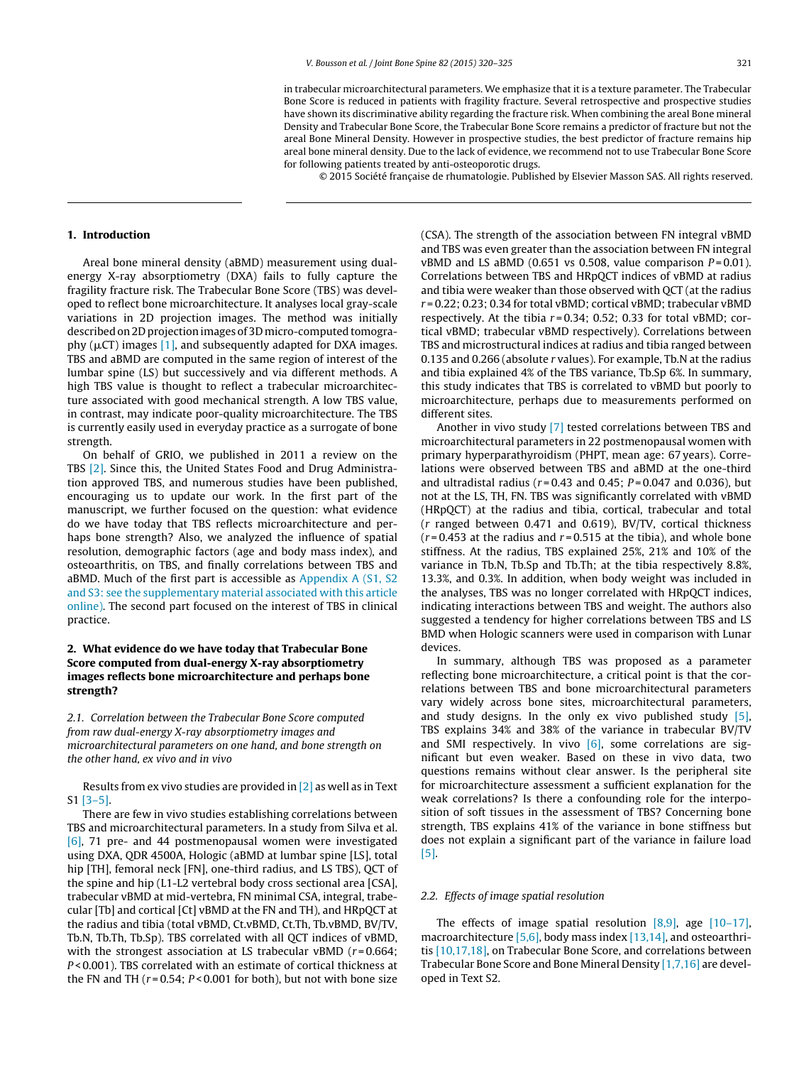in trabecular microarchitectural parameters. We emphasize that it is a texture parameter. The Trabecular Bone Score is reduced in patients with fragility fracture. Several retrospective and prospective studies have shown its discriminative ability regarding the fracture risk. When combining the areal Bone mineral Density and Trabecular Bone Score, the Trabecular Bone Score remains a predictor of fracture but not the areal Bone Mineral Density. However in prospective studies, the best predictor of fracture remains hip areal bone mineral density. Due to the lack of evidence, we recommend not to use Trabecular Bone Score for following patients treated by anti-osteoporotic drugs.

© 2015 Société française de rhumatologie. Published by Elsevier Masson SAS. All rights reserved.

#### **1. Introduction**

Areal bone mineral density (aBMD) measurement using dualenergy X-ray absorptiometry (DXA) fails to fully capture the fragility fracture risk. The Trabecular Bone Score (TBS) was developed to reflect bone microarchitecture. It analyses local gray-scale variations in 2D projection images. The method was initially described on 2D projection images of 3D micro-computed tomography ( $\mu$ CT) images [\[1\],](#page-4-0) and subsequently adapted for DXA images. TBS and aBMD are computed in the same region of interest of the lumbar spine (LS) but successively and via different methods. A high TBS value is thought to reflect a trabecular microarchitecture associated with good mechanical strength. A low TBS value, in contrast, may indicate poor-quality microarchitecture. The TBS is currently easily used in everyday practice as a surrogate of bone strength.

On behalf of GRIO, we published in 2011 a review on the TBS [\[2\].](#page-4-0) Since this, the United States Food and Drug Administration approved TBS, and numerous studies have been published, encouraging us to update our work. In the first part of the manuscript, we further focused on the question: what evidence do we have today that TBS reflects microarchitecture and perhaps bone strength? Also, we analyzed the influence of spatial resolution, demographic factors (age and body mass index), and osteoarthritis, on TBS, and finally correlations between TBS and aBMD. Much of the first part is accessible as [Appendix](#page-4-0) [A](#page-4-0) [\(S1,](#page-4-0) [S2](#page-4-0) [and](#page-4-0) [S3:](#page-4-0) [see](#page-4-0) [the](#page-4-0) [supplementary](#page-4-0) [material](#page-4-0) [associated](#page-4-0) [with](#page-4-0) [this](#page-4-0) [article](#page-4-0) [online\).](#page-4-0) The second part focused on the interest of TBS in clinical practice.

# **2. What evidence do we have today that Trabecular Bone Score computed from dual-energy X-ray absorptiometry images reflects bone microarchitecture and perhaps bone strength?**

2.1. Correlation between the Trabecular Bone Score computed from raw dual-energy X-ray absorptiometry images and microarchitectural parameters on one hand, and bone strength on the other hand, ex vivo and in vivo

Results from ex vivo studies are provided in [\[2\]](#page-4-0) as well as in Text S1 [\[3–5\].](#page-4-0)

There are few in vivo studies establishing correlations between TBS and microarchitectural parameters. In a study from Silva et al. [\[6\],](#page-4-0) 71 pre- and 44 postmenopausal women were investigated using DXA, QDR 4500A, Hologic (aBMD at lumbar spine [LS], total hip [TH], femoral neck [FN], one-third radius, and LS TBS), QCT of the spine and hip (L1-L2 vertebral body cross sectional area [CSA], trabecular vBMD at mid-vertebra, FN minimal CSA, integral, trabecular [Tb] and cortical [Ct] vBMD at the FN and TH), and HRpQCT at the radius and tibia (total vBMD, Ct.vBMD, Ct.Th, Tb.vBMD, BV/TV, Tb.N, Tb.Th, Tb.Sp). TBS correlated with all QCT indices of vBMD, with the strongest association at LS trabecular vBMD  $(r=0.664;$  $P$  < 0.001). TBS correlated with an estimate of cortical thickness at the FN and TH  $(r = 0.54; P < 0.001$  for both), but not with bone size

(CSA). The strength of the association between FN integral vBMD and TBS was even greater than the association between FN integral vBMD and LS aBMD (0.651 vs 0.508, value comparison  $P = 0.01$ ). Correlations between TBS and HRpQCT indices of vBMD at radius and tibia were weaker than those observed with QCT (at the radius r = 0.22; 0.23; 0.34 for total vBMD; cortical vBMD; trabecular vBMD respectively. At the tibia  $r = 0.34$ ; 0.52; 0.33 for total vBMD; cortical vBMD; trabecular vBMD respectively). Correlations between TBS and microstructural indices at radius and tibia ranged between 0.135 and 0.266 (absolute r values). For example, Tb.N at the radius and tibia explained 4% of the TBS variance, Tb.Sp 6%. In summary, this study indicates that TBS is correlated to vBMD but poorly to microarchitecture, perhaps due to measurements performed on different sites.

Another in vivo study [\[7\]](#page-4-0) tested correlations between TBS and microarchitectural parameters in 22 postmenopausal women with primary hyperparathyroidism (PHPT, mean age: 67 years). Correlations were observed between TBS and aBMD at the one-third and ultradistal radius ( $r = 0.43$  and 0.45;  $P = 0.047$  and 0.036), but not at the LS, TH, FN. TBS was significantly correlated with vBMD (HRpQCT) at the radius and tibia, cortical, trabecular and total (r ranged between 0.471 and 0.619), BV/TV, cortical thickness  $(r=0.453$  at the radius and  $r=0.515$  at the tibia), and whole bone stiffness. At the radius, TBS explained 25%, 21% and 10% of the variance in Tb.N, Tb.Sp and Tb.Th; at the tibia respectively 8.8%, 13.3%, and 0.3%. In addition, when body weight was included in the analyses, TBS was no longer correlated with HRpQCT indices, indicating interactions between TBS and weight. The authors also suggested a tendency for higher correlations between TBS and LS BMD when Hologic scanners were used in comparison with Lunar devices.

In summary, although TBS was proposed as a parameter reflecting bone microarchitecture, a critical point is that the correlations between TBS and bone microarchitectural parameters vary widely across bone sites, microarchitectural parameters, and study designs. In the only ex vivo published study [\[5\],](#page-4-0) TBS explains 34% and 38% of the variance in trabecular BV/TV and SMI respectively. In vivo  $[6]$ , some correlations are significant but even weaker. Based on these in vivo data, two questions remains without clear answer. Is the peripheral site for microarchitecture assessment a sufficient explanation for the weak correlations? Is there a confounding role for the interposition of soft tissues in the assessment of TBS? Concerning bone strength, TBS explains 41% of the variance in bone stiffness but does not explain a significant part of the variance in failure load [\[5\].](#page-4-0)

## 2.2. Effects of image spatial resolution

The effects of image spatial resolution  $[8,9]$ , age  $[10-17]$ , macroarchitecture [\[5,6\],](#page-4-0) body mass index [\[13,14\],](#page-5-0) and osteoarthritis [\[10,17,18\],](#page-4-0) on Trabecular Bone Score, and correlations between Trabecular Bone Score and Bone Mineral Density [\[1,7,16\]](#page-4-0) are developed in Text S2.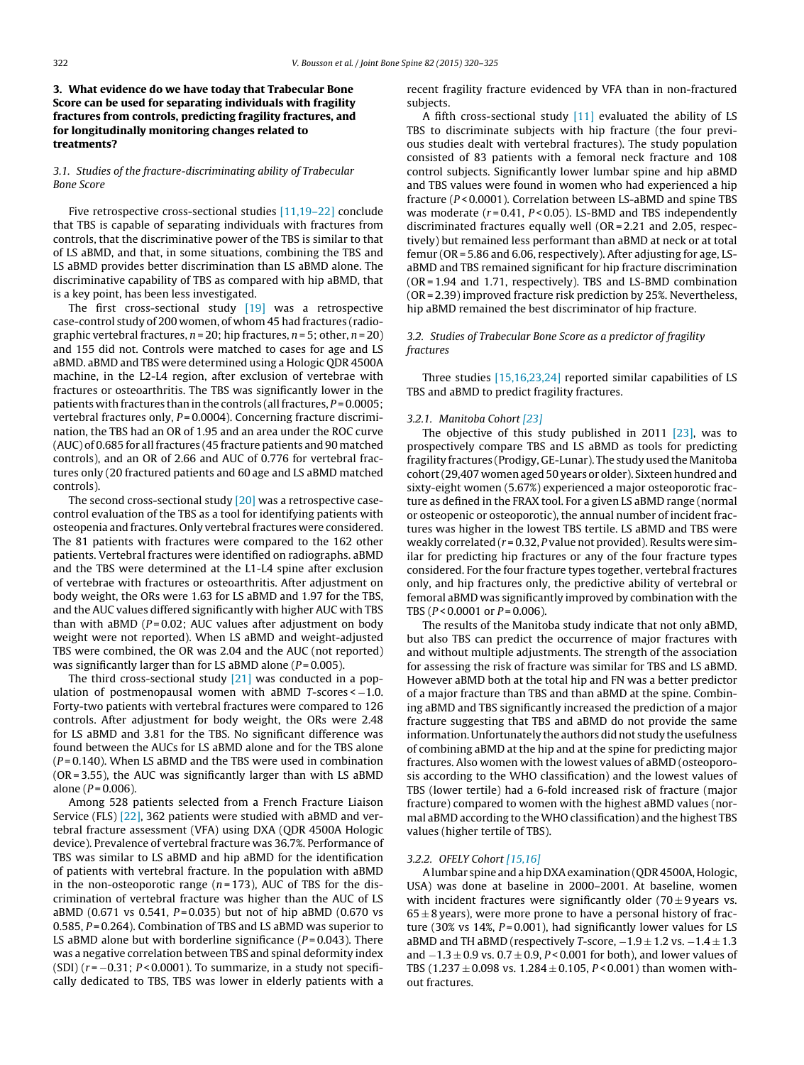# **3. What evidence do we have today that Trabecular Bone Score can be used for separating individuals with fragility fractures from controls, predicting fragility fractures, and for longitudinally monitoring changes related to treatments?**

# 3.1. Studies of the fracture-discriminating ability of Trabecular Bone Score

Five retrospective cross-sectional studies [\[11,19–22\]](#page-4-0) conclude that TBS is capable of separating individuals with fractures from controls, that the discriminative power of the TBS is similar to that of LS aBMD, and that, in some situations, combining the TBS and LS aBMD provides better discrimination than LS aBMD alone. The discriminative capability of TBS as compared with hip aBMD, that is a key point, has been less investigated.

The first cross-sectional study [\[19\]](#page-5-0) was a retrospective case-control study of 200 women, of whom 45 had fractures (radiographic vertebral fractures,  $n = 20$ ; hip fractures,  $n = 5$ ; other,  $n = 20$ ) and 155 did not. Controls were matched to cases for age and LS aBMD. aBMD and TBS were determined using a Hologic QDR 4500A machine, in the L2-L4 region, after exclusion of vertebrae with fractures or osteoarthritis. The TBS was significantly lower in the patients with fractures than in the controls (all fractures,  $P = 0.0005$ ; vertebral fractures only,  $P = 0.0004$ ). Concerning fracture discrimination, the TBS had an OR of 1.95 and an area under the ROC curve (AUC) of 0.685 for all fractures (45 fracture patients and 90 matched controls), and an OR of 2.66 and AUC of 0.776 for vertebral fractures only (20 fractured patients and 60 age and LS aBMD matched controls).

The second cross-sectional study [\[20\]](#page-5-0) was a retrospective casecontrol evaluation of the TBS as a tool for identifying patients with osteopenia and fractures. Only vertebral fractures were considered. The 81 patients with fractures were compared to the 162 other patients. Vertebral fractures were identified on radiographs. aBMD and the TBS were determined at the L1-L4 spine after exclusion of vertebrae with fractures or osteoarthritis. After adjustment on body weight, the ORs were 1.63 for LS aBMD and 1.97 for the TBS, and the AUC values differed significantly with higher AUC with TBS than with aBMD ( $P = 0.02$ ; AUC values after adjustment on body weight were not reported). When LS aBMD and weight-adjusted TBS were combined, the OR was 2.04 and the AUC (not reported) was significantly larger than for LS aBMD alone ( $P = 0.005$ ).

The third cross-sectional study [\[21\]](#page-5-0) was conducted in a population of postmenopausal women with aBMD  $T$ -scores <  $-1.0$ . Forty-two patients with vertebral fractures were compared to 126 controls. After adjustment for body weight, the ORs were 2.48 for LS aBMD and 3.81 for the TBS. No significant difference was found between the AUCs for LS aBMD alone and for the TBS alone  $(P = 0.140)$ . When LS aBMD and the TBS were used in combination (OR = 3.55), the AUC was significantly larger than with LS aBMD alone ( $P = 0.006$ ).

Among 528 patients selected from a French Fracture Liaison Service (FLS) [\[22\],](#page-5-0) 362 patients were studied with aBMD and vertebral fracture assessment (VFA) using DXA (QDR 4500A Hologic device). Prevalence of vertebral fracture was 36.7%. Performance of TBS was similar to LS aBMD and hip aBMD for the identification of patients with vertebral fracture. In the population with aBMD in the non-osteoporotic range  $(n = 173)$ , AUC of TBS for the discrimination of vertebral fracture was higher than the AUC of LS aBMD (0.671 vs 0.541,  $P = 0.035$ ) but not of hip aBMD (0.670 vs 0.585, P = 0.264). Combination of TBS and LS aBMD was superior to LS aBMD alone but with borderline significance  $(P = 0.043)$ . There was a negative correlation between TBS and spinal deformity index (SDI)  $(r = -0.31; P < 0.0001)$ . To summarize, in a study not specifically dedicated to TBS, TBS was lower in elderly patients with a recent fragility fracture evidenced by VFA than in non-fractured subjects.

A fifth cross-sectional study  $[11]$  evaluated the ability of LS TBS to discriminate subjects with hip fracture (the four previous studies dealt with vertebral fractures). The study population consisted of 83 patients with a femoral neck fracture and 108 control subjects. Significantly lower lumbar spine and hip aBMD and TBS values were found in women who had experienced a hip fracture (P<0.0001). Correlation between LS-aBMD and spine TBS was moderate  $(r = 0.41, P < 0.05)$ . LS-BMD and TBS independently discriminated fractures equally well (OR = 2.21 and 2.05, respectively) but remained less performant than aBMD at neck or at total femur (OR = 5.86 and 6.06, respectively). After adjusting for age, LSaBMD and TBS remained significant for hip fracture discrimination (OR = 1.94 and 1.71, respectively). TBS and LS-BMD combination (OR = 2.39) improved fracture risk prediction by 25%. Nevertheless, hip aBMD remained the best discriminator of hip fracture.

# 3.2. Studies of Trabecular Bone Score as a predictor of fragility fractures

Three studies [\[15,16,23,24\]](#page-5-0) reported similar capabilities of LS TBS and aBMD to predict fragility fractures.

## 3.2.1. Manitoba Cohort [\[23\]](#page-5-0)

The objective of this study published in 2011 [\[23\],](#page-5-0) was to prospectively compare TBS and LS aBMD as tools for predicting fragility fractures (Prodigy, GE-Lunar). The study used the Manitoba cohort (29,407 women aged 50 years or older). Sixteen hundred and sixty-eight women (5.67%) experienced a major osteoporotic fracture as defined in the FRAX tool. For a given LS aBMD range (normal or osteopenic or osteoporotic), the annual number of incident fractures was higher in the lowest TBS tertile. LS aBMD and TBS were weakly correlated ( $r = 0.32$ , P value not provided). Results were similar for predicting hip fractures or any of the four fracture types considered. For the four fracture types together, vertebral fractures only, and hip fractures only, the predictive ability of vertebral or femoral aBMD was significantly improved by combination with the TBS ( $P < 0.0001$  or  $P = 0.006$ ).

The results of the Manitoba study indicate that not only aBMD, but also TBS can predict the occurrence of major fractures with and without multiple adjustments. The strength of the association for assessing the risk of fracture was similar for TBS and LS aBMD. However aBMD both at the total hip and FN was a better predictor of a major fracture than TBS and than aBMD at the spine. Combining aBMD and TBS significantly increased the prediction of a major fracture suggesting that TBS and aBMD do not provide the same information. Unfortunately the authors did not study the usefulness of combining aBMD at the hip and at the spine for predicting major fractures. Also women with the lowest values of aBMD (osteoporosis according to the WHO classification) and the lowest values of TBS (lower tertile) had a 6-fold increased risk of fracture (major fracture) compared to women with the highest aBMD values (normal aBMD according to the WHO classification) and the highest TBS values (higher tertile of TBS).

#### 3.2.2. OFELY Cohort [\[15,16\]](#page-5-0)

Alumbar spine and ahip DXAexamination(QDR4500A,Hologic, USA) was done at baseline in 2000–2001. At baseline, women with incident fractures were significantly older  $(70 \pm 9 \text{ years} \text{ vs.})$  $65 \pm 8$  years), were more prone to have a personal history of fracture (30% vs 14%,  $P = 0.001$ ), had significantly lower values for LS aBMD and TH aBMD (respectively T-score,  $-1.9 \pm 1.2$  vs.  $-1.4 \pm 1.3$ and  $-1.3 \pm 0.9$  vs.  $0.7 \pm 0.9$ ,  $P < 0.001$  for both), and lower values of TBS (1.237  $\pm$  0.098 vs. 1.284  $\pm$  0.105, P < 0.001) than women without fractures.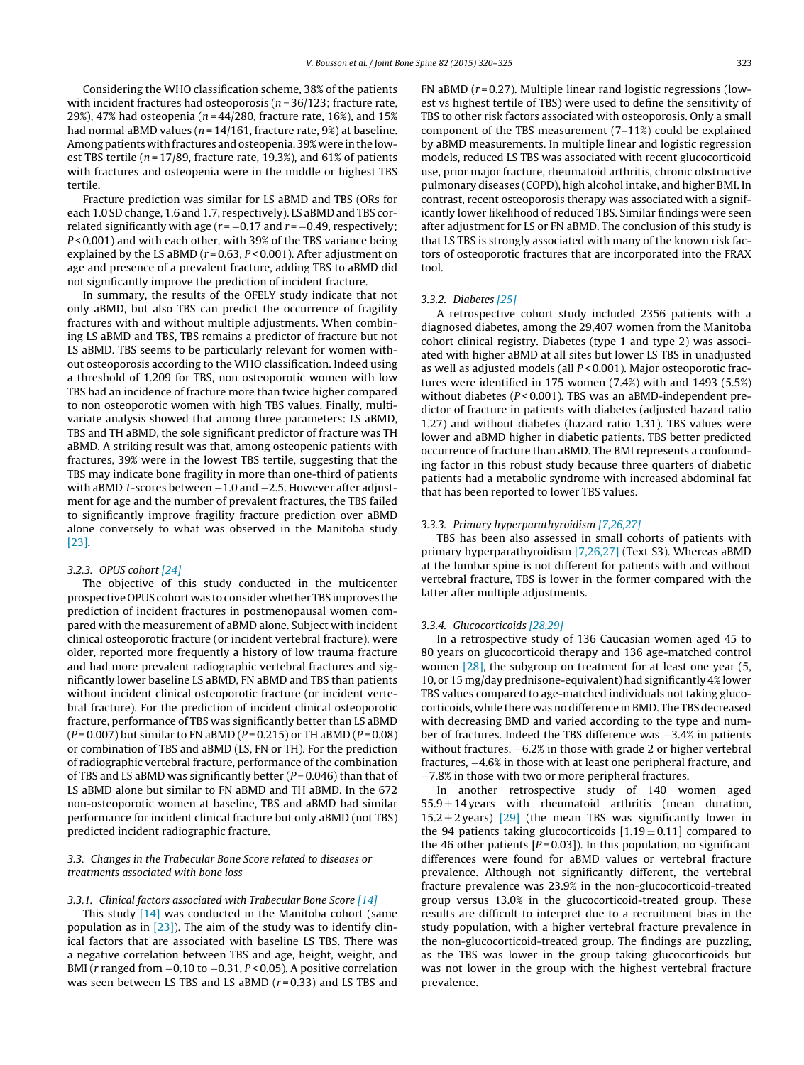Considering the WHO classification scheme, 38% of the patients with incident fractures had osteoporosis ( $n = 36/123$ ; fracture rate, 29%), 47% had osteopenia ( $n = 44/280$ , fracture rate, 16%), and 15% had normal aBMD values ( $n = 14/161$ , fracture rate, 9%) at baseline. Among patients with fractures and osteopenia, 39% were in the lowest TBS tertile ( $n = 17/89$ , fracture rate, 19.3%), and 61% of patients with fractures and osteopenia were in the middle or highest TBS tertile.

Fracture prediction was similar for LS aBMD and TBS (ORs for each 1.0 SD change, 1.6 and 1.7, respectively). LS aBMD and TBS correlated significantly with age  $(r = -0.17$  and  $r = -0.49$ , respectively; P < 0.001) and with each other, with 39% of the TBS variance being explained by the LS aBMD ( $r = 0.63$ ,  $P < 0.001$ ). After adjustment on age and presence of a prevalent fracture, adding TBS to aBMD did not significantly improve the prediction of incident fracture.

In summary, the results of the OFELY study indicate that not only aBMD, but also TBS can predict the occurrence of fragility fractures with and without multiple adjustments. When combining LS aBMD and TBS, TBS remains a predictor of fracture but not LS aBMD. TBS seems to be particularly relevant for women without osteoporosis according to the WHO classification. Indeed using a threshold of 1.209 for TBS, non osteoporotic women with low TBS had an incidence of fracture more than twice higher compared to non osteoporotic women with high TBS values. Finally, multivariate analysis showed that among three parameters: LS aBMD, TBS and TH aBMD, the sole significant predictor of fracture was TH aBMD. A striking result was that, among osteopenic patients with fractures, 39% were in the lowest TBS tertile, suggesting that the TBS may indicate bone fragility in more than one-third of patients with aBMD T-scores between −1.0 and −2.5. However after adjustment for age and the number of prevalent fractures, the TBS failed to significantly improve fragility fracture prediction over aBMD alone conversely to what was observed in the Manitoba study [\[23\].](#page-5-0)

## 3.2.3. OPUS cohort [\[24\]](#page-5-0)

The objective of this study conducted in the multicenter prospective OPUS cohort was to consider whether TBS improves the prediction of incident fractures in postmenopausal women compared with the measurement of aBMD alone. Subject with incident clinical osteoporotic fracture (or incident vertebral fracture), were older, reported more frequently a history of low trauma fracture and had more prevalent radiographic vertebral fractures and significantly lower baseline LS aBMD, FN aBMD and TBS than patients without incident clinical osteoporotic fracture (or incident vertebral fracture). For the prediction of incident clinical osteoporotic fracture, performance of TBS was significantly better than LS aBMD  $(P = 0.007)$  but similar to FN aBMD  $(P = 0.215)$  or TH aBMD  $(P = 0.08)$ or combination of TBS and aBMD (LS, FN or TH). For the prediction of radiographic vertebral fracture, performance of the combination of TBS and LS aBMD was significantly better ( $P = 0.046$ ) than that of LS aBMD alone but similar to FN aBMD and TH aBMD. In the 672 non-osteoporotic women at baseline, TBS and aBMD had similar performance for incident clinical fracture but only aBMD (not TBS) predicted incident radiographic fracture.

# 3.3. Changes in the Trabecular Bone Score related to diseases or treatments associated with bone loss

## 3.3.1. Clinical factors associated with Trabecular Bone Score [\[14\]](#page-5-0)

This study [\[14\]](#page-5-0) was conducted in the Manitoba cohort (same population as in [\[23\]\).](#page-5-0) The aim of the study was to identify clinical factors that are associated with baseline LS TBS. There was a negative correlation between TBS and age, height, weight, and BMI (r ranged from −0.10 to −0.31, P < 0.05). A positive correlation was seen between LS TBS and LS aBMD  $(r=0.33)$  and LS TBS and

FN aBMD ( $r = 0.27$ ). Multiple linear rand logistic regressions (lowest vs highest tertile of TBS) were used to define the sensitivity of TBS to other risk factors associated with osteoporosis. Only a small component of the TBS measurement (7–11%) could be explained by aBMD measurements. In multiple linear and logistic regression models, reduced LS TBS was associated with recent glucocorticoid use, prior major fracture, rheumatoid arthritis, chronic obstructive pulmonary diseases (COPD), high alcohol intake, and higher BMI. In contrast, recent osteoporosis therapy was associated with a significantly lower likelihood of reduced TBS. Similar findings were seen after adjustment for LS or FN aBMD. The conclusion of this study is that LS TBS is strongly associated with many of the known risk factors of osteoporotic fractures that are incorporated into the FRAX tool.

## 3.3.2. Diabetes [\[25\]](#page-5-0)

A retrospective cohort study included 2356 patients with a diagnosed diabetes, among the 29,407 women from the Manitoba cohort clinical registry. Diabetes (type 1 and type 2) was associated with higher aBMD at all sites but lower LS TBS in unadjusted as well as adjusted models (all P < 0.001). Major osteoporotic fractures were identified in 175 women (7.4%) with and 1493 (5.5%) without diabetes ( $P < 0.001$ ). TBS was an aBMD-independent predictor of fracture in patients with diabetes (adjusted hazard ratio 1.27) and without diabetes (hazard ratio 1.31). TBS values were lower and aBMD higher in diabetic patients. TBS better predicted occurrence of fracture than aBMD. The BMI represents a confounding factor in this robust study because three quarters of diabetic patients had a metabolic syndrome with increased abdominal fat that has been reported to lower TBS values.

#### 3.3.3. Primary hyperparathyroidism [\[7,26,27\]](#page-4-0)

TBS has been also assessed in small cohorts of patients with primary hyperparathyroidism [\[7,26,27\]](#page-4-0) (Text S3). Whereas aBMD at the lumbar spine is not different for patients with and without vertebral fracture, TBS is lower in the former compared with the latter after multiple adjustments.

### 3.3.4. Glucocorticoids [\[28,29\]](#page-5-0)

In a retrospective study of 136 Caucasian women aged 45 to 80 years on glucocorticoid therapy and 136 age-matched control women [\[28\],](#page-5-0) the subgroup on treatment for at least one year (5, 10, or 15 mg/day prednisone-equivalent) had significantly 4% lower TBS values compared to age-matched individuals not taking glucocorticoids, while there was no difference in BMD. The TBS decreased with decreasing BMD and varied according to the type and number of fractures. Indeed the TBS difference was −3.4% in patients without fractures,  $-6.2%$  in those with grade 2 or higher vertebral fractures, −4.6% in those with at least one peripheral fracture, and −7.8% in those with two or more peripheral fractures.

In another retrospective study of 140 women aged  $55.9 \pm 14$  years with rheumatoid arthritis (mean duration, 15.2  $\pm$  2 years) [\[29\]](#page-5-0) (the mean TBS was significantly lower in the 94 patients taking glucocorticoids  $[1.19 \pm 0.11]$  compared to the 46 other patients  $[P=0.03]$ ). In this population, no significant differences were found for aBMD values or vertebral fracture prevalence. Although not significantly different, the vertebral fracture prevalence was 23.9% in the non-glucocorticoid-treated group versus 13.0% in the glucocorticoid-treated group. These results are difficult to interpret due to a recruitment bias in the study population, with a higher vertebral fracture prevalence in the non-glucocorticoid-treated group. The findings are puzzling, as the TBS was lower in the group taking glucocorticoids but was not lower in the group with the highest vertebral fracture prevalence.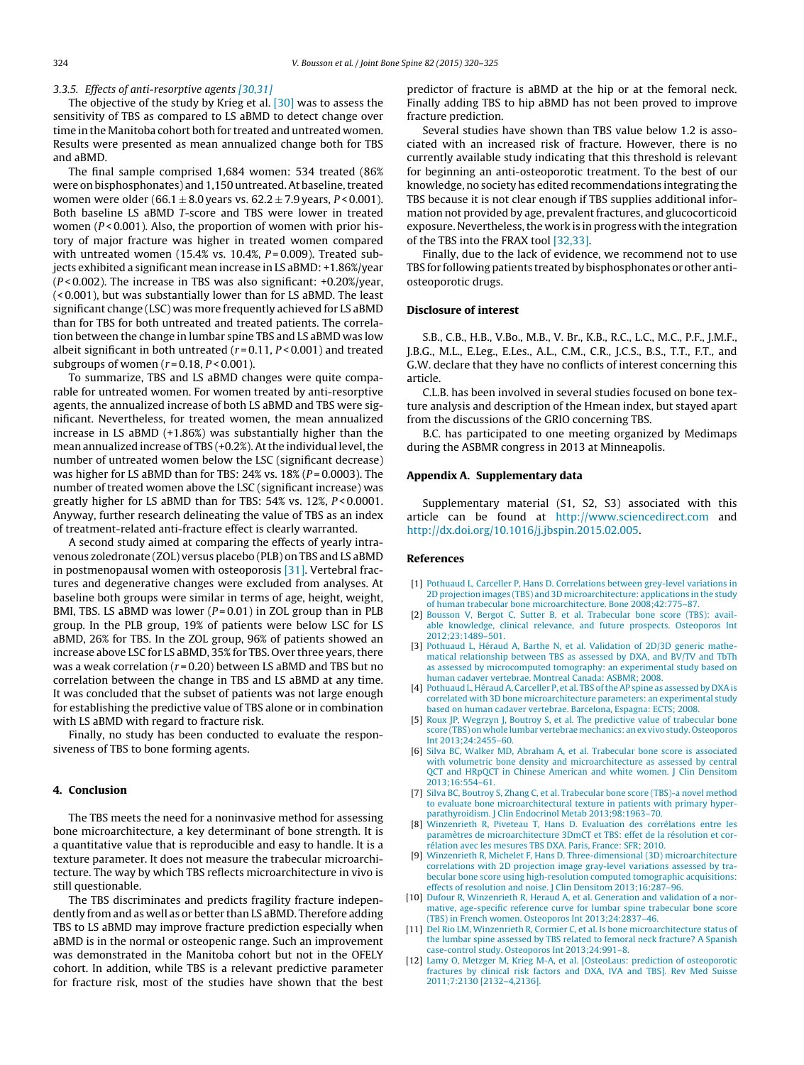#### <span id="page-4-0"></span>3.3.5. Effects of anti-resorptive agents [\[30,31\]](#page-5-0)

The objective of the study by Krieg et al. [\[30\]](#page-5-0) was to assess the sensitivity of TBS as compared to LS aBMD to detect change over time in the Manitoba cohort both for treated and untreated women. Results were presented as mean annualized change both for TBS and aBMD.

The final sample comprised 1,684 women: 534 treated (86% were on bisphosphonates) and 1,150 untreated. At baseline, treated women were older (66.1  $\pm$  8.0 years vs. 62.2  $\pm$  7.9 years, P < 0.001). Both baseline LS aBMD T-score and TBS were lower in treated women ( $P < 0.001$ ). Also, the proportion of women with prior history of major fracture was higher in treated women compared with untreated women (15.4% vs. 10.4%,  $P = 0.009$ ). Treated subjects exhibited a significant mean increase in LS aBMD: +1.86%/year  $(P < 0.002)$ . The increase in TBS was also significant: +0.20%/year, (< 0.001), but was substantially lower than for LS aBMD. The least significant change (LSC) was more frequently achieved for LS aBMD than for TBS for both untreated and treated patients. The correlation between the change in lumbar spine TBS and LS aBMD was low albeit significant in both untreated  $(r=0.11, P<0.001)$  and treated subgroups of women ( $r = 0.18$ ,  $P < 0.001$ ).

To summarize, TBS and LS aBMD changes were quite comparable for untreated women. For women treated by anti-resorptive agents, the annualized increase of both LS aBMD and TBS were significant. Nevertheless, for treated women, the mean annualized increase in LS aBMD (+1.86%) was substantially higher than the mean annualized increase of TBS (+0.2%). At the individual level, the number of untreated women below the LSC (significant decrease) was higher for LS aBMD than for TBS:  $24\%$  vs.  $18\%$  ( $P = 0.0003$ ). The number of treated women above the LSC (significant increase) was greatly higher for LS aBMD than for TBS:  $54\%$  vs.  $12\%$ ,  $P < 0.0001$ . Anyway, further research delineating the value of TBS as an index of treatment-related anti-fracture effect is clearly warranted.

A second study aimed at comparing the effects of yearly intravenous zoledronate (ZOL) versus placebo (PLB) on TBS and LS aBMD in postmenopausal women with osteoporosis [\[31\].](#page-5-0) Vertebral fractures and degenerative changes were excluded from analyses. At baseline both groups were similar in terms of age, height, weight, BMI, TBS. LS aBMD was lower  $(P=0.01)$  in ZOL group than in PLB group. In the PLB group, 19% of patients were below LSC for LS aBMD, 26% for TBS. In the ZOL group, 96% of patients showed an increase above LSC for LS aBMD, 35% for TBS. Over three years, there was a weak correlation ( $r = 0.20$ ) between LS aBMD and TBS but no correlation between the change in TBS and LS aBMD at any time. It was concluded that the subset of patients was not large enough for establishing the predictive value of TBS alone or in combination with LS aBMD with regard to fracture risk.

Finally, no study has been conducted to evaluate the responsiveness of TBS to bone forming agents.

## **4. Conclusion**

The TBS meets the need for a noninvasive method for assessing bone microarchitecture, a key determinant of bone strength. It is a quantitative value that is reproducible and easy to handle. It is a texture parameter. It does not measure the trabecular microarchitecture. The way by which TBS reflects microarchitecture in vivo is still questionable.

The TBS discriminates and predicts fragility fracture independently from and as well as or better than LS aBMD. Therefore adding TBS to LS aBMD may improve fracture prediction especially when aBMD is in the normal or osteopenic range. Such an improvement was demonstrated in the Manitoba cohort but not in the OFELY cohort. In addition, while TBS is a relevant predictive parameter for fracture risk, most of the studies have shown that the best

predictor of fracture is aBMD at the hip or at the femoral neck. Finally adding TBS to hip aBMD has not been proved to improve fracture prediction.

Several studies have shown than TBS value below 1.2 is associated with an increased risk of fracture. However, there is no currently available study indicating that this threshold is relevant for beginning an anti-osteoporotic treatment. To the best of our knowledge, no society has edited recommendations integrating the TBS because it is not clear enough if TBS supplies additional information not provided by age, prevalent fractures, and glucocorticoid exposure. Nevertheless, the work is in progress with the integration of the TBS into the FRAX tool [\[32,33\].](#page-5-0)

Finally, due to the lack of evidence, we recommend not to use TBS for following patients treated by bisphosphonates or other antiosteoporotic drugs.

### **Disclosure of interest**

S.B., C.B., H.B., V.Bo., M.B., V. Br., K.B., R.C., L.C., M.C., P.F., J.M.F., J.B.G., M.L., E.Leg., E.Les., A.L., C.M., C.R., J.C.S., B.S., T.T., F.T., and G.W. declare that they have no conflicts of interest concerning this article.

C.L.B. has been involved in several studies focused on bone texture analysis and description of the Hmean index, but stayed apart from the discussions of the GRIO concerning TBS.

B.C. has participated to one meeting organized by Medimaps during the ASBMR congress in 2013 at Minneapolis.

### **Appendix A. Supplementary data**

Supplementary material (S1, S2, S3) associated with this article can be found at [http://www.sciencedirect.com](http://www.sciencedirect.com/) and [http://dx.doi.org/10.1016/j.jbspin.2015.02.005.](http://dx.doi.org/10.1016/j.jbspin.2015.02.005)

#### **References**

- [1] [Pothuaud](http://refhub.elsevier.com/S1297-319X(15)00068-8/sbref0170) [L,](http://refhub.elsevier.com/S1297-319X(15)00068-8/sbref0170) [Carceller](http://refhub.elsevier.com/S1297-319X(15)00068-8/sbref0170) [P,](http://refhub.elsevier.com/S1297-319X(15)00068-8/sbref0170) [Hans](http://refhub.elsevier.com/S1297-319X(15)00068-8/sbref0170) [D.](http://refhub.elsevier.com/S1297-319X(15)00068-8/sbref0170) [Correlations](http://refhub.elsevier.com/S1297-319X(15)00068-8/sbref0170) [between](http://refhub.elsevier.com/S1297-319X(15)00068-8/sbref0170) [grey-level](http://refhub.elsevier.com/S1297-319X(15)00068-8/sbref0170) [variations](http://refhub.elsevier.com/S1297-319X(15)00068-8/sbref0170) [in](http://refhub.elsevier.com/S1297-319X(15)00068-8/sbref0170) [2D](http://refhub.elsevier.com/S1297-319X(15)00068-8/sbref0170) [projection](http://refhub.elsevier.com/S1297-319X(15)00068-8/sbref0170) [images](http://refhub.elsevier.com/S1297-319X(15)00068-8/sbref0170) [\(TBS\)](http://refhub.elsevier.com/S1297-319X(15)00068-8/sbref0170) [and](http://refhub.elsevier.com/S1297-319X(15)00068-8/sbref0170) [3D](http://refhub.elsevier.com/S1297-319X(15)00068-8/sbref0170) [microarchitecture:](http://refhub.elsevier.com/S1297-319X(15)00068-8/sbref0170) [applications](http://refhub.elsevier.com/S1297-319X(15)00068-8/sbref0170) [in](http://refhub.elsevier.com/S1297-319X(15)00068-8/sbref0170) [the](http://refhub.elsevier.com/S1297-319X(15)00068-8/sbref0170) [study](http://refhub.elsevier.com/S1297-319X(15)00068-8/sbref0170) [of](http://refhub.elsevier.com/S1297-319X(15)00068-8/sbref0170) [human](http://refhub.elsevier.com/S1297-319X(15)00068-8/sbref0170) [trabecular](http://refhub.elsevier.com/S1297-319X(15)00068-8/sbref0170) [bone](http://refhub.elsevier.com/S1297-319X(15)00068-8/sbref0170) [microarchitecture.](http://refhub.elsevier.com/S1297-319X(15)00068-8/sbref0170) [Bone](http://refhub.elsevier.com/S1297-319X(15)00068-8/sbref0170) [2008;42:775–87.](http://refhub.elsevier.com/S1297-319X(15)00068-8/sbref0170)
- [2] [Bousson](http://refhub.elsevier.com/S1297-319X(15)00068-8/sbref0175) [V,](http://refhub.elsevier.com/S1297-319X(15)00068-8/sbref0175) [Bergot](http://refhub.elsevier.com/S1297-319X(15)00068-8/sbref0175) [C,](http://refhub.elsevier.com/S1297-319X(15)00068-8/sbref0175) [Sutter](http://refhub.elsevier.com/S1297-319X(15)00068-8/sbref0175) [B,](http://refhub.elsevier.com/S1297-319X(15)00068-8/sbref0175) [et](http://refhub.elsevier.com/S1297-319X(15)00068-8/sbref0175) [al.](http://refhub.elsevier.com/S1297-319X(15)00068-8/sbref0175) [Trabecular](http://refhub.elsevier.com/S1297-319X(15)00068-8/sbref0175) [bone](http://refhub.elsevier.com/S1297-319X(15)00068-8/sbref0175) [score](http://refhub.elsevier.com/S1297-319X(15)00068-8/sbref0175) [\(TBS\):](http://refhub.elsevier.com/S1297-319X(15)00068-8/sbref0175) [avail](http://refhub.elsevier.com/S1297-319X(15)00068-8/sbref0175)[able](http://refhub.elsevier.com/S1297-319X(15)00068-8/sbref0175) [knowledge,](http://refhub.elsevier.com/S1297-319X(15)00068-8/sbref0175) [clinical](http://refhub.elsevier.com/S1297-319X(15)00068-8/sbref0175) [relevance,](http://refhub.elsevier.com/S1297-319X(15)00068-8/sbref0175) [and](http://refhub.elsevier.com/S1297-319X(15)00068-8/sbref0175) [future](http://refhub.elsevier.com/S1297-319X(15)00068-8/sbref0175) [prospects.](http://refhub.elsevier.com/S1297-319X(15)00068-8/sbref0175) [Osteoporos](http://refhub.elsevier.com/S1297-319X(15)00068-8/sbref0175) [Int](http://refhub.elsevier.com/S1297-319X(15)00068-8/sbref0175) [2012;23:1489–501.](http://refhub.elsevier.com/S1297-319X(15)00068-8/sbref0175)
- [3] [Pothuaud](http://refhub.elsevier.com/S1297-319X(15)00068-8/sbref0180) [L,](http://refhub.elsevier.com/S1297-319X(15)00068-8/sbref0180) [Héraud](http://refhub.elsevier.com/S1297-319X(15)00068-8/sbref0180) [A,](http://refhub.elsevier.com/S1297-319X(15)00068-8/sbref0180) [Barthe](http://refhub.elsevier.com/S1297-319X(15)00068-8/sbref0180) [N,](http://refhub.elsevier.com/S1297-319X(15)00068-8/sbref0180) [et](http://refhub.elsevier.com/S1297-319X(15)00068-8/sbref0180) [al.](http://refhub.elsevier.com/S1297-319X(15)00068-8/sbref0180) [Validation](http://refhub.elsevier.com/S1297-319X(15)00068-8/sbref0180) [of](http://refhub.elsevier.com/S1297-319X(15)00068-8/sbref0180) [2D/3D](http://refhub.elsevier.com/S1297-319X(15)00068-8/sbref0180) [generic](http://refhub.elsevier.com/S1297-319X(15)00068-8/sbref0180) [mathe](http://refhub.elsevier.com/S1297-319X(15)00068-8/sbref0180)[matical](http://refhub.elsevier.com/S1297-319X(15)00068-8/sbref0180) [relationship](http://refhub.elsevier.com/S1297-319X(15)00068-8/sbref0180) [between](http://refhub.elsevier.com/S1297-319X(15)00068-8/sbref0180) [TBS](http://refhub.elsevier.com/S1297-319X(15)00068-8/sbref0180) [as](http://refhub.elsevier.com/S1297-319X(15)00068-8/sbref0180) [assessed](http://refhub.elsevier.com/S1297-319X(15)00068-8/sbref0180) [by](http://refhub.elsevier.com/S1297-319X(15)00068-8/sbref0180) [DXA,](http://refhub.elsevier.com/S1297-319X(15)00068-8/sbref0180) [and](http://refhub.elsevier.com/S1297-319X(15)00068-8/sbref0180) [BV/TV](http://refhub.elsevier.com/S1297-319X(15)00068-8/sbref0180) [and](http://refhub.elsevier.com/S1297-319X(15)00068-8/sbref0180) [TbTh](http://refhub.elsevier.com/S1297-319X(15)00068-8/sbref0180) [as](http://refhub.elsevier.com/S1297-319X(15)00068-8/sbref0180) [assessed](http://refhub.elsevier.com/S1297-319X(15)00068-8/sbref0180) [by](http://refhub.elsevier.com/S1297-319X(15)00068-8/sbref0180) [microcomputed](http://refhub.elsevier.com/S1297-319X(15)00068-8/sbref0180) [tomography:](http://refhub.elsevier.com/S1297-319X(15)00068-8/sbref0180) [an](http://refhub.elsevier.com/S1297-319X(15)00068-8/sbref0180) [experimental](http://refhub.elsevier.com/S1297-319X(15)00068-8/sbref0180) [study](http://refhub.elsevier.com/S1297-319X(15)00068-8/sbref0180) [based](http://refhub.elsevier.com/S1297-319X(15)00068-8/sbref0180) [on](http://refhub.elsevier.com/S1297-319X(15)00068-8/sbref0180) [human](http://refhub.elsevier.com/S1297-319X(15)00068-8/sbref0180) [cadaver](http://refhub.elsevier.com/S1297-319X(15)00068-8/sbref0180) [vertebrae.](http://refhub.elsevier.com/S1297-319X(15)00068-8/sbref0180) [Montreal](http://refhub.elsevier.com/S1297-319X(15)00068-8/sbref0180) [Canada:](http://refhub.elsevier.com/S1297-319X(15)00068-8/sbref0180) [ASBMR;](http://refhub.elsevier.com/S1297-319X(15)00068-8/sbref0180) [2008.](http://refhub.elsevier.com/S1297-319X(15)00068-8/sbref0180)
- [4] [Pothuaud](http://refhub.elsevier.com/S1297-319X(15)00068-8/sbref0185) [L,](http://refhub.elsevier.com/S1297-319X(15)00068-8/sbref0185) Héraud A, [Carceller](http://refhub.elsevier.com/S1297-319X(15)00068-8/sbref0185) [P,](http://refhub.elsevier.com/S1297-319X(15)00068-8/sbref0185) [et](http://refhub.elsevier.com/S1297-319X(15)00068-8/sbref0185) [al.](http://refhub.elsevier.com/S1297-319X(15)00068-8/sbref0185) [TBS](http://refhub.elsevier.com/S1297-319X(15)00068-8/sbref0185) of the AP [spine](http://refhub.elsevier.com/S1297-319X(15)00068-8/sbref0185) [as](http://refhub.elsevier.com/S1297-319X(15)00068-8/sbref0185) [assessed](http://refhub.elsevier.com/S1297-319X(15)00068-8/sbref0185) [by](http://refhub.elsevier.com/S1297-319X(15)00068-8/sbref0185) DXA is [correlated](http://refhub.elsevier.com/S1297-319X(15)00068-8/sbref0185) [with](http://refhub.elsevier.com/S1297-319X(15)00068-8/sbref0185) [3D](http://refhub.elsevier.com/S1297-319X(15)00068-8/sbref0185) [bone](http://refhub.elsevier.com/S1297-319X(15)00068-8/sbref0185) [microarchitecture](http://refhub.elsevier.com/S1297-319X(15)00068-8/sbref0185) [parameters:](http://refhub.elsevier.com/S1297-319X(15)00068-8/sbref0185) [an](http://refhub.elsevier.com/S1297-319X(15)00068-8/sbref0185) [experimental](http://refhub.elsevier.com/S1297-319X(15)00068-8/sbref0185) [study](http://refhub.elsevier.com/S1297-319X(15)00068-8/sbref0185) [based](http://refhub.elsevier.com/S1297-319X(15)00068-8/sbref0185) [on](http://refhub.elsevier.com/S1297-319X(15)00068-8/sbref0185) [human](http://refhub.elsevier.com/S1297-319X(15)00068-8/sbref0185) [cadaver](http://refhub.elsevier.com/S1297-319X(15)00068-8/sbref0185) [vertebrae.](http://refhub.elsevier.com/S1297-319X(15)00068-8/sbref0185) [Barcelona,](http://refhub.elsevier.com/S1297-319X(15)00068-8/sbref0185) [Espagna:](http://refhub.elsevier.com/S1297-319X(15)00068-8/sbref0185) [ECTS;](http://refhub.elsevier.com/S1297-319X(15)00068-8/sbref0185) [2008.](http://refhub.elsevier.com/S1297-319X(15)00068-8/sbref0185)
- [5] [Roux](http://refhub.elsevier.com/S1297-319X(15)00068-8/sbref0190) [JP,](http://refhub.elsevier.com/S1297-319X(15)00068-8/sbref0190) [Wegrzyn](http://refhub.elsevier.com/S1297-319X(15)00068-8/sbref0190) [J,](http://refhub.elsevier.com/S1297-319X(15)00068-8/sbref0190) [Boutroy](http://refhub.elsevier.com/S1297-319X(15)00068-8/sbref0190) [S,](http://refhub.elsevier.com/S1297-319X(15)00068-8/sbref0190) [et](http://refhub.elsevier.com/S1297-319X(15)00068-8/sbref0190) [al.](http://refhub.elsevier.com/S1297-319X(15)00068-8/sbref0190) [The](http://refhub.elsevier.com/S1297-319X(15)00068-8/sbref0190) [predictive](http://refhub.elsevier.com/S1297-319X(15)00068-8/sbref0190) [value](http://refhub.elsevier.com/S1297-319X(15)00068-8/sbref0190) [of](http://refhub.elsevier.com/S1297-319X(15)00068-8/sbref0190) [trabecular](http://refhub.elsevier.com/S1297-319X(15)00068-8/sbref0190) [bone](http://refhub.elsevier.com/S1297-319X(15)00068-8/sbref0190) [score](http://refhub.elsevier.com/S1297-319X(15)00068-8/sbref0190) [\(TBS\)](http://refhub.elsevier.com/S1297-319X(15)00068-8/sbref0190) [on](http://refhub.elsevier.com/S1297-319X(15)00068-8/sbref0190) [whole](http://refhub.elsevier.com/S1297-319X(15)00068-8/sbref0190) [lumbar](http://refhub.elsevier.com/S1297-319X(15)00068-8/sbref0190) [vertebraemechanics:](http://refhub.elsevier.com/S1297-319X(15)00068-8/sbref0190) [anex](http://refhub.elsevier.com/S1297-319X(15)00068-8/sbref0190) [vivo](http://refhub.elsevier.com/S1297-319X(15)00068-8/sbref0190) [study.](http://refhub.elsevier.com/S1297-319X(15)00068-8/sbref0190) [Osteoporos](http://refhub.elsevier.com/S1297-319X(15)00068-8/sbref0190) [Int](http://refhub.elsevier.com/S1297-319X(15)00068-8/sbref0190) [2013;24:2455](http://refhub.elsevier.com/S1297-319X(15)00068-8/sbref0190)–[60.](http://refhub.elsevier.com/S1297-319X(15)00068-8/sbref0190)
- [6] [Silva](http://refhub.elsevier.com/S1297-319X(15)00068-8/sbref0195) [BC,](http://refhub.elsevier.com/S1297-319X(15)00068-8/sbref0195) [Walker](http://refhub.elsevier.com/S1297-319X(15)00068-8/sbref0195) [MD,](http://refhub.elsevier.com/S1297-319X(15)00068-8/sbref0195) [Abraham](http://refhub.elsevier.com/S1297-319X(15)00068-8/sbref0195) [A,](http://refhub.elsevier.com/S1297-319X(15)00068-8/sbref0195) [et](http://refhub.elsevier.com/S1297-319X(15)00068-8/sbref0195) [al.](http://refhub.elsevier.com/S1297-319X(15)00068-8/sbref0195) [Trabecular](http://refhub.elsevier.com/S1297-319X(15)00068-8/sbref0195) [bone](http://refhub.elsevier.com/S1297-319X(15)00068-8/sbref0195) [score](http://refhub.elsevier.com/S1297-319X(15)00068-8/sbref0195) [is](http://refhub.elsevier.com/S1297-319X(15)00068-8/sbref0195) [associated](http://refhub.elsevier.com/S1297-319X(15)00068-8/sbref0195) [with](http://refhub.elsevier.com/S1297-319X(15)00068-8/sbref0195) [volumetric](http://refhub.elsevier.com/S1297-319X(15)00068-8/sbref0195) [bone](http://refhub.elsevier.com/S1297-319X(15)00068-8/sbref0195) [density](http://refhub.elsevier.com/S1297-319X(15)00068-8/sbref0195) [and](http://refhub.elsevier.com/S1297-319X(15)00068-8/sbref0195) [microarchitecture](http://refhub.elsevier.com/S1297-319X(15)00068-8/sbref0195) [as](http://refhub.elsevier.com/S1297-319X(15)00068-8/sbref0195) [assessed](http://refhub.elsevier.com/S1297-319X(15)00068-8/sbref0195) [by](http://refhub.elsevier.com/S1297-319X(15)00068-8/sbref0195) [central](http://refhub.elsevier.com/S1297-319X(15)00068-8/sbref0195) [QCT](http://refhub.elsevier.com/S1297-319X(15)00068-8/sbref0195) [and](http://refhub.elsevier.com/S1297-319X(15)00068-8/sbref0195) [HRpQCT](http://refhub.elsevier.com/S1297-319X(15)00068-8/sbref0195) [in](http://refhub.elsevier.com/S1297-319X(15)00068-8/sbref0195) [Chinese](http://refhub.elsevier.com/S1297-319X(15)00068-8/sbref0195) [American](http://refhub.elsevier.com/S1297-319X(15)00068-8/sbref0195) [and](http://refhub.elsevier.com/S1297-319X(15)00068-8/sbref0195) [white](http://refhub.elsevier.com/S1297-319X(15)00068-8/sbref0195) [women.](http://refhub.elsevier.com/S1297-319X(15)00068-8/sbref0195) [J](http://refhub.elsevier.com/S1297-319X(15)00068-8/sbref0195) [Clin](http://refhub.elsevier.com/S1297-319X(15)00068-8/sbref0195) [Densitom](http://refhub.elsevier.com/S1297-319X(15)00068-8/sbref0195) [2013;16:554](http://refhub.elsevier.com/S1297-319X(15)00068-8/sbref0195)–[61.](http://refhub.elsevier.com/S1297-319X(15)00068-8/sbref0195)
- [7] [Silva](http://refhub.elsevier.com/S1297-319X(15)00068-8/sbref0200) [BC,](http://refhub.elsevier.com/S1297-319X(15)00068-8/sbref0200) [Boutroy](http://refhub.elsevier.com/S1297-319X(15)00068-8/sbref0200) [S,](http://refhub.elsevier.com/S1297-319X(15)00068-8/sbref0200) [Zhang](http://refhub.elsevier.com/S1297-319X(15)00068-8/sbref0200) [C,](http://refhub.elsevier.com/S1297-319X(15)00068-8/sbref0200) [et](http://refhub.elsevier.com/S1297-319X(15)00068-8/sbref0200) [al.](http://refhub.elsevier.com/S1297-319X(15)00068-8/sbref0200) [Trabecular](http://refhub.elsevier.com/S1297-319X(15)00068-8/sbref0200) [bone](http://refhub.elsevier.com/S1297-319X(15)00068-8/sbref0200) [score](http://refhub.elsevier.com/S1297-319X(15)00068-8/sbref0200) [\(TBS\)-a](http://refhub.elsevier.com/S1297-319X(15)00068-8/sbref0200) [novel](http://refhub.elsevier.com/S1297-319X(15)00068-8/sbref0200) [method](http://refhub.elsevier.com/S1297-319X(15)00068-8/sbref0200) [to](http://refhub.elsevier.com/S1297-319X(15)00068-8/sbref0200) [evaluate](http://refhub.elsevier.com/S1297-319X(15)00068-8/sbref0200) [bone](http://refhub.elsevier.com/S1297-319X(15)00068-8/sbref0200) [microarchitectural](http://refhub.elsevier.com/S1297-319X(15)00068-8/sbref0200) [texture](http://refhub.elsevier.com/S1297-319X(15)00068-8/sbref0200) [in](http://refhub.elsevier.com/S1297-319X(15)00068-8/sbref0200) [patients](http://refhub.elsevier.com/S1297-319X(15)00068-8/sbref0200) [with](http://refhub.elsevier.com/S1297-319X(15)00068-8/sbref0200) [primary](http://refhub.elsevier.com/S1297-319X(15)00068-8/sbref0200) [hyper](http://refhub.elsevier.com/S1297-319X(15)00068-8/sbref0200)[parathyroidism.](http://refhub.elsevier.com/S1297-319X(15)00068-8/sbref0200) [J](http://refhub.elsevier.com/S1297-319X(15)00068-8/sbref0200) [Clin](http://refhub.elsevier.com/S1297-319X(15)00068-8/sbref0200) [Endocrinol](http://refhub.elsevier.com/S1297-319X(15)00068-8/sbref0200) [Metab](http://refhub.elsevier.com/S1297-319X(15)00068-8/sbref0200) [2013;98:1963](http://refhub.elsevier.com/S1297-319X(15)00068-8/sbref0200)–[70.](http://refhub.elsevier.com/S1297-319X(15)00068-8/sbref0200)
- [8] [Winzenrieth](http://refhub.elsevier.com/S1297-319X(15)00068-8/sbref0205) [R,](http://refhub.elsevier.com/S1297-319X(15)00068-8/sbref0205) [Piveteau](http://refhub.elsevier.com/S1297-319X(15)00068-8/sbref0205) [T,](http://refhub.elsevier.com/S1297-319X(15)00068-8/sbref0205) [Hans](http://refhub.elsevier.com/S1297-319X(15)00068-8/sbref0205) [D.](http://refhub.elsevier.com/S1297-319X(15)00068-8/sbref0205) [Evaluation](http://refhub.elsevier.com/S1297-319X(15)00068-8/sbref0205) [des](http://refhub.elsevier.com/S1297-319X(15)00068-8/sbref0205) [corrélations](http://refhub.elsevier.com/S1297-319X(15)00068-8/sbref0205) [entre](http://refhub.elsevier.com/S1297-319X(15)00068-8/sbref0205) [les](http://refhub.elsevier.com/S1297-319X(15)00068-8/sbref0205) [paramètres](http://refhub.elsevier.com/S1297-319X(15)00068-8/sbref0205) [de](http://refhub.elsevier.com/S1297-319X(15)00068-8/sbref0205) [microarchitecture](http://refhub.elsevier.com/S1297-319X(15)00068-8/sbref0205) [3DmCT](http://refhub.elsevier.com/S1297-319X(15)00068-8/sbref0205) [et](http://refhub.elsevier.com/S1297-319X(15)00068-8/sbref0205) [TBS:](http://refhub.elsevier.com/S1297-319X(15)00068-8/sbref0205) [effet](http://refhub.elsevier.com/S1297-319X(15)00068-8/sbref0205) [de](http://refhub.elsevier.com/S1297-319X(15)00068-8/sbref0205) [la](http://refhub.elsevier.com/S1297-319X(15)00068-8/sbref0205) [résolution](http://refhub.elsevier.com/S1297-319X(15)00068-8/sbref0205) [et](http://refhub.elsevier.com/S1297-319X(15)00068-8/sbref0205) [cor](http://refhub.elsevier.com/S1297-319X(15)00068-8/sbref0205)[rélation](http://refhub.elsevier.com/S1297-319X(15)00068-8/sbref0205) [avec](http://refhub.elsevier.com/S1297-319X(15)00068-8/sbref0205) [les](http://refhub.elsevier.com/S1297-319X(15)00068-8/sbref0205) [mesures](http://refhub.elsevier.com/S1297-319X(15)00068-8/sbref0205) [TBS](http://refhub.elsevier.com/S1297-319X(15)00068-8/sbref0205) [DXA.](http://refhub.elsevier.com/S1297-319X(15)00068-8/sbref0205) [Paris,](http://refhub.elsevier.com/S1297-319X(15)00068-8/sbref0205) [France:](http://refhub.elsevier.com/S1297-319X(15)00068-8/sbref0205) [SFR;](http://refhub.elsevier.com/S1297-319X(15)00068-8/sbref0205) [2010.](http://refhub.elsevier.com/S1297-319X(15)00068-8/sbref0205)
- [9] [Winzenrieth](http://refhub.elsevier.com/S1297-319X(15)00068-8/sbref0210) [R,](http://refhub.elsevier.com/S1297-319X(15)00068-8/sbref0210) [Michelet](http://refhub.elsevier.com/S1297-319X(15)00068-8/sbref0210) [F,](http://refhub.elsevier.com/S1297-319X(15)00068-8/sbref0210) [Hans](http://refhub.elsevier.com/S1297-319X(15)00068-8/sbref0210) [D.](http://refhub.elsevier.com/S1297-319X(15)00068-8/sbref0210) [Three-dimensional](http://refhub.elsevier.com/S1297-319X(15)00068-8/sbref0210) [\(3D\)](http://refhub.elsevier.com/S1297-319X(15)00068-8/sbref0210) [microarchitecture](http://refhub.elsevier.com/S1297-319X(15)00068-8/sbref0210) [correlations](http://refhub.elsevier.com/S1297-319X(15)00068-8/sbref0210) [with](http://refhub.elsevier.com/S1297-319X(15)00068-8/sbref0210) [2D](http://refhub.elsevier.com/S1297-319X(15)00068-8/sbref0210) [projection](http://refhub.elsevier.com/S1297-319X(15)00068-8/sbref0210) [image](http://refhub.elsevier.com/S1297-319X(15)00068-8/sbref0210) [gray-level](http://refhub.elsevier.com/S1297-319X(15)00068-8/sbref0210) [variations](http://refhub.elsevier.com/S1297-319X(15)00068-8/sbref0210) [assessed](http://refhub.elsevier.com/S1297-319X(15)00068-8/sbref0210) [by](http://refhub.elsevier.com/S1297-319X(15)00068-8/sbref0210) [tra](http://refhub.elsevier.com/S1297-319X(15)00068-8/sbref0210)[becular](http://refhub.elsevier.com/S1297-319X(15)00068-8/sbref0210) [bone](http://refhub.elsevier.com/S1297-319X(15)00068-8/sbref0210) [score](http://refhub.elsevier.com/S1297-319X(15)00068-8/sbref0210) [using](http://refhub.elsevier.com/S1297-319X(15)00068-8/sbref0210) [high-resolution](http://refhub.elsevier.com/S1297-319X(15)00068-8/sbref0210) [computed](http://refhub.elsevier.com/S1297-319X(15)00068-8/sbref0210) [tomographic](http://refhub.elsevier.com/S1297-319X(15)00068-8/sbref0210) [acquisitions:](http://refhub.elsevier.com/S1297-319X(15)00068-8/sbref0210) [effects](http://refhub.elsevier.com/S1297-319X(15)00068-8/sbref0210) [of](http://refhub.elsevier.com/S1297-319X(15)00068-8/sbref0210) [resolution](http://refhub.elsevier.com/S1297-319X(15)00068-8/sbref0210) [and](http://refhub.elsevier.com/S1297-319X(15)00068-8/sbref0210) [noise.](http://refhub.elsevier.com/S1297-319X(15)00068-8/sbref0210) [J](http://refhub.elsevier.com/S1297-319X(15)00068-8/sbref0210) [Clin](http://refhub.elsevier.com/S1297-319X(15)00068-8/sbref0210) [Densitom](http://refhub.elsevier.com/S1297-319X(15)00068-8/sbref0210) [2013;16:287](http://refhub.elsevier.com/S1297-319X(15)00068-8/sbref0210)–[96.](http://refhub.elsevier.com/S1297-319X(15)00068-8/sbref0210)
- [10] [Dufour](http://refhub.elsevier.com/S1297-319X(15)00068-8/sbref0215) [R,](http://refhub.elsevier.com/S1297-319X(15)00068-8/sbref0215) [Winzenrieth](http://refhub.elsevier.com/S1297-319X(15)00068-8/sbref0215) [R,](http://refhub.elsevier.com/S1297-319X(15)00068-8/sbref0215) [Heraud](http://refhub.elsevier.com/S1297-319X(15)00068-8/sbref0215) [A,](http://refhub.elsevier.com/S1297-319X(15)00068-8/sbref0215) [et](http://refhub.elsevier.com/S1297-319X(15)00068-8/sbref0215) [al.](http://refhub.elsevier.com/S1297-319X(15)00068-8/sbref0215) [Generation](http://refhub.elsevier.com/S1297-319X(15)00068-8/sbref0215) [and](http://refhub.elsevier.com/S1297-319X(15)00068-8/sbref0215) [validation](http://refhub.elsevier.com/S1297-319X(15)00068-8/sbref0215) [of](http://refhub.elsevier.com/S1297-319X(15)00068-8/sbref0215) [a](http://refhub.elsevier.com/S1297-319X(15)00068-8/sbref0215) [nor](http://refhub.elsevier.com/S1297-319X(15)00068-8/sbref0215)[mative,](http://refhub.elsevier.com/S1297-319X(15)00068-8/sbref0215) [age-specific](http://refhub.elsevier.com/S1297-319X(15)00068-8/sbref0215) [reference](http://refhub.elsevier.com/S1297-319X(15)00068-8/sbref0215) [curve](http://refhub.elsevier.com/S1297-319X(15)00068-8/sbref0215) [for](http://refhub.elsevier.com/S1297-319X(15)00068-8/sbref0215) [lumbar](http://refhub.elsevier.com/S1297-319X(15)00068-8/sbref0215) [spine](http://refhub.elsevier.com/S1297-319X(15)00068-8/sbref0215) [trabecular](http://refhub.elsevier.com/S1297-319X(15)00068-8/sbref0215) [bone](http://refhub.elsevier.com/S1297-319X(15)00068-8/sbref0215) [score](http://refhub.elsevier.com/S1297-319X(15)00068-8/sbref0215) [\(TBS\)](http://refhub.elsevier.com/S1297-319X(15)00068-8/sbref0215) [in](http://refhub.elsevier.com/S1297-319X(15)00068-8/sbref0215) [French](http://refhub.elsevier.com/S1297-319X(15)00068-8/sbref0215) [women.](http://refhub.elsevier.com/S1297-319X(15)00068-8/sbref0215) [Osteoporos](http://refhub.elsevier.com/S1297-319X(15)00068-8/sbref0215) [Int](http://refhub.elsevier.com/S1297-319X(15)00068-8/sbref0215) [2013;24:2837](http://refhub.elsevier.com/S1297-319X(15)00068-8/sbref0215)–[46.](http://refhub.elsevier.com/S1297-319X(15)00068-8/sbref0215)
- [11] [Del](http://refhub.elsevier.com/S1297-319X(15)00068-8/sbref0220) [Rio](http://refhub.elsevier.com/S1297-319X(15)00068-8/sbref0220) [LM,](http://refhub.elsevier.com/S1297-319X(15)00068-8/sbref0220) [Winzenrieth](http://refhub.elsevier.com/S1297-319X(15)00068-8/sbref0220) [R,](http://refhub.elsevier.com/S1297-319X(15)00068-8/sbref0220) [Cormier](http://refhub.elsevier.com/S1297-319X(15)00068-8/sbref0220) [C,](http://refhub.elsevier.com/S1297-319X(15)00068-8/sbref0220) [et](http://refhub.elsevier.com/S1297-319X(15)00068-8/sbref0220) [al.](http://refhub.elsevier.com/S1297-319X(15)00068-8/sbref0220) [Is](http://refhub.elsevier.com/S1297-319X(15)00068-8/sbref0220) [bone](http://refhub.elsevier.com/S1297-319X(15)00068-8/sbref0220) [microarchitecture](http://refhub.elsevier.com/S1297-319X(15)00068-8/sbref0220) [status](http://refhub.elsevier.com/S1297-319X(15)00068-8/sbref0220) [of](http://refhub.elsevier.com/S1297-319X(15)00068-8/sbref0220) [the](http://refhub.elsevier.com/S1297-319X(15)00068-8/sbref0220) [lumbar](http://refhub.elsevier.com/S1297-319X(15)00068-8/sbref0220) [spine](http://refhub.elsevier.com/S1297-319X(15)00068-8/sbref0220) [assessed](http://refhub.elsevier.com/S1297-319X(15)00068-8/sbref0220) [by](http://refhub.elsevier.com/S1297-319X(15)00068-8/sbref0220) [TBS](http://refhub.elsevier.com/S1297-319X(15)00068-8/sbref0220) [related](http://refhub.elsevier.com/S1297-319X(15)00068-8/sbref0220) [to](http://refhub.elsevier.com/S1297-319X(15)00068-8/sbref0220) [femoral](http://refhub.elsevier.com/S1297-319X(15)00068-8/sbref0220) [neck](http://refhub.elsevier.com/S1297-319X(15)00068-8/sbref0220) [fracture?](http://refhub.elsevier.com/S1297-319X(15)00068-8/sbref0220) [A](http://refhub.elsevier.com/S1297-319X(15)00068-8/sbref0220) [Spanish](http://refhub.elsevier.com/S1297-319X(15)00068-8/sbref0220) [case-control](http://refhub.elsevier.com/S1297-319X(15)00068-8/sbref0220) [study.](http://refhub.elsevier.com/S1297-319X(15)00068-8/sbref0220) [Osteoporos](http://refhub.elsevier.com/S1297-319X(15)00068-8/sbref0220) [Int](http://refhub.elsevier.com/S1297-319X(15)00068-8/sbref0220) [2013;24:991–8.](http://refhub.elsevier.com/S1297-319X(15)00068-8/sbref0220)
- [12] [Lamy](http://refhub.elsevier.com/S1297-319X(15)00068-8/sbref0225) [O,](http://refhub.elsevier.com/S1297-319X(15)00068-8/sbref0225) [Metzger](http://refhub.elsevier.com/S1297-319X(15)00068-8/sbref0225) [M,](http://refhub.elsevier.com/S1297-319X(15)00068-8/sbref0225) [Krieg](http://refhub.elsevier.com/S1297-319X(15)00068-8/sbref0225) [M-A,](http://refhub.elsevier.com/S1297-319X(15)00068-8/sbref0225) [et](http://refhub.elsevier.com/S1297-319X(15)00068-8/sbref0225) [al.](http://refhub.elsevier.com/S1297-319X(15)00068-8/sbref0225) [\[OsteoLaus:](http://refhub.elsevier.com/S1297-319X(15)00068-8/sbref0225) [prediction](http://refhub.elsevier.com/S1297-319X(15)00068-8/sbref0225) [of](http://refhub.elsevier.com/S1297-319X(15)00068-8/sbref0225) [osteoporotic](http://refhub.elsevier.com/S1297-319X(15)00068-8/sbref0225) [fractures](http://refhub.elsevier.com/S1297-319X(15)00068-8/sbref0225) [by](http://refhub.elsevier.com/S1297-319X(15)00068-8/sbref0225) [clinical](http://refhub.elsevier.com/S1297-319X(15)00068-8/sbref0225) [risk](http://refhub.elsevier.com/S1297-319X(15)00068-8/sbref0225) [factors](http://refhub.elsevier.com/S1297-319X(15)00068-8/sbref0225) [and](http://refhub.elsevier.com/S1297-319X(15)00068-8/sbref0225) [DXA,](http://refhub.elsevier.com/S1297-319X(15)00068-8/sbref0225) [IVA](http://refhub.elsevier.com/S1297-319X(15)00068-8/sbref0225) [and](http://refhub.elsevier.com/S1297-319X(15)00068-8/sbref0225) [TBS\].](http://refhub.elsevier.com/S1297-319X(15)00068-8/sbref0225) [Rev](http://refhub.elsevier.com/S1297-319X(15)00068-8/sbref0225) [Med](http://refhub.elsevier.com/S1297-319X(15)00068-8/sbref0225) [Suisse](http://refhub.elsevier.com/S1297-319X(15)00068-8/sbref0225) [2011;7:2130](http://refhub.elsevier.com/S1297-319X(15)00068-8/sbref0225) [\[2132–4,2136\].](http://refhub.elsevier.com/S1297-319X(15)00068-8/sbref0225)